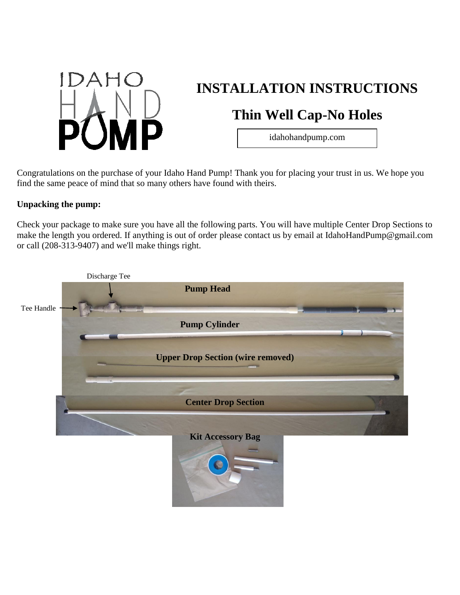

# **INSTALLATION INSTRUCTIONS**

# **Thin Well Cap-No Holes**

idahohandpump.com

Congratulations on the purchase of your Idaho Hand Pump! Thank you for placing your trust in us. We hope you find the same peace of mind that so many others have found with theirs.

## **Unpacking the pump:**

Check your package to make sure you have all the following parts. You will have multiple Center Drop Sections to make the length you ordered. If anything is out of order please contact us by email at IdahoHandPump@gmail.com or call (208-313-9407) and we'll make things right.

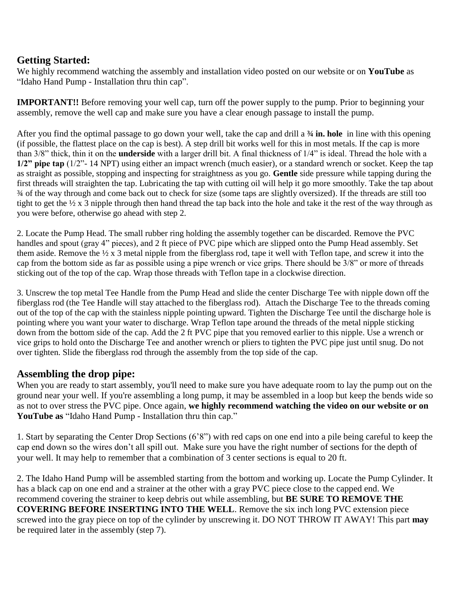## **Getting Started:**

We highly recommend watching the assembly and installation video posted on our website or on **YouTube** as "Idaho Hand Pump - Installation thru thin cap".

**IMPORTANT!!** Before removing your well cap, turn off the power supply to the pump. Prior to beginning your assembly, remove the well cap and make sure you have a clear enough passage to install the pump.

After you find the optimal passage to go down your well, take the cap and drill a **¾ in. hole** in line with this opening (if possible, the flattest place on the cap is best). A step drill bit works well for this in most metals. If the cap is more than 3/8" thick, thin it on the **underside** with a larger drill bit. A final thickness of 1/4" is ideal. Thread the hole with a **1/2" pipe tap** (1/2"- 14 NPT) using either an impact wrench (much easier), or a standard wrench or socket. Keep the tap as straight as possible, stopping and inspecting for straightness as you go. **Gentle** side pressure while tapping during the first threads will straighten the tap. Lubricating the tap with cutting oil will help it go more smoothly. Take the tap about ¾ of the way through and come back out to check for size (some taps are slightly oversized). If the threads are still too tight to get the ½ x 3 nipple through then hand thread the tap back into the hole and take it the rest of the way through as you were before, otherwise go ahead with step 2.

2. Locate the Pump Head. The small rubber ring holding the assembly together can be discarded. Remove the PVC handles and spout (gray 4" pieces), and 2 ft piece of PVC pipe which are slipped onto the Pump Head assembly. Set them aside. Remove the ½ x 3 metal nipple from the fiberglass rod, tape it well with Teflon tape, and screw it into the cap from the bottom side as far as possible using a pipe wrench or vice grips. There should be 3/8" or more of threads sticking out of the top of the cap. Wrap those threads with Teflon tape in a clockwise direction.

3. Unscrew the top metal Tee Handle from the Pump Head and slide the center Discharge Tee with nipple down off the fiberglass rod (the Tee Handle will stay attached to the fiberglass rod). Attach the Discharge Tee to the threads coming out of the top of the cap with the stainless nipple pointing upward. Tighten the Discharge Tee until the discharge hole is pointing where you want your water to discharge. Wrap Teflon tape around the threads of the metal nipple sticking down from the bottom side of the cap. Add the 2 ft PVC pipe that you removed earlier to this nipple. Use a wrench or vice grips to hold onto the Discharge Tee and another wrench or pliers to tighten the PVC pipe just until snug. Do not over tighten. Slide the fiberglass rod through the assembly from the top side of the cap.

## **Assembling the drop pipe:**

When you are ready to start assembly, you'll need to make sure you have adequate room to lay the pump out on the ground near your well. If you're assembling a long pump, it may be assembled in a loop but keep the bends wide so as not to over stress the PVC pipe. Once again, **we highly recommend watching the video on our website or on YouTube as** "Idaho Hand Pump - Installation thru thin cap."

1. Start by separating the Center Drop Sections (6'8") with red caps on one end into a pile being careful to keep the cap end down so the wires don't all spill out. Make sure you have the right number of sections for the depth of your well. It may help to remember that a combination of 3 center sections is equal to 20 ft.

2. The Idaho Hand Pump will be assembled starting from the bottom and working up. Locate the Pump Cylinder. It has a black cap on one end and a strainer at the other with a gray PVC piece close to the capped end. We recommend covering the strainer to keep debris out while assembling, but **BE SURE TO REMOVE THE COVERING BEFORE INSERTING INTO THE WELL**. Remove the six inch long PVC extension piece screwed into the gray piece on top of the cylinder by unscrewing it. DO NOT THROW IT AWAY! This part **may** be required later in the assembly (step 7).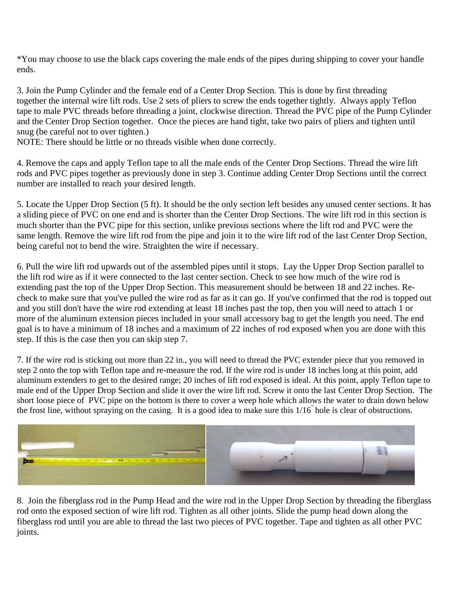\*You may choose to use the black caps covering the male ends of the pipes during shipping to cover your handle ends.

3. Join the Pump Cylinder and the female end of a Center Drop Section. This is done by first threading together the internal wire lift rods. Use 2 sets of pliers to screw the ends together tightly. Always apply Teflon tape to male PVC threads before threading a joint, clockwise direction. Thread the PVC pipe of the Pump Cylinder and the Center Drop Section together. Once the pieces are hand tight, take two pairs of pliers and tighten until snug (be careful not to over tighten.)

NOTE: There should be little or no threads visible when done correctly.

4. Remove the caps and apply Teflon tape to all the male ends of the Center Drop Sections. Thread the wire lift rods and PVC pipes together as previously done in step 3. Continue adding Center Drop Sections until the correct number are installed to reach your desired length.

5. Locate the Upper Drop Section (5 ft). It should be the only section left besides any unused center sections. It has a sliding piece of PVC on one end and is shorter than the Center Drop Sections. The wire lift rod in this section is much shorter than the PVC pipe for this section, unlike previous sections where the lift rod and PVC were the same length. Remove the wire lift rod from the pipe and join it to the wire lift rod of the last Center Drop Section, being careful not to bend the wire. Straighten the wire if necessary.

6. Pull the wire lift rod upwards out of the assembled pipes until it stops. Lay the Upper Drop Section parallel to the lift rod wire as if it were connected to the last center section. Check to see how much of the wire rod is extending past the top of the Upper Drop Section. This measurement should be between 18 and 22 inches. Recheck to make sure that you've pulled the wire rod as far as it can go. If you've confirmed that the rod is topped out and you still don't have the wire rod extending at least 18 inches past the top, then you will need to attach 1 or more of the aluminum extension pieces included in your small accessory bag to get the length you need. The end goal is to have a minimum of 18 inches and a maximum of 22 inches of rod exposed when you are done with this step. If this is the case then you can skip step 7.

7. If the wire rod is sticking out more than 22 in., you will need to thread the PVC extender piece that you removed in step 2 onto the top with Teflon tape and re-measure the rod. If the wire rod is under 18 inches long at this point, add aluminum extenders to get to the desired range; 20 inches of lift rod exposed is ideal. At this point, apply Teflon tape to male end of the Upper Drop Section and slide it over the wire lift rod. Screw it onto the last Center Drop Section. The short loose piece of PVC pipe on the bottom is there to cover a weep hole which allows the water to drain down below the frost line, without spraying on the casing. It is a good idea to make sure this 1/16" hole is clear of obstructions.



8. Join the fiberglass rod in the Pump Head and the wire rod in the Upper Drop Section by threading the fiberglass rod onto the exposed section of wire lift rod. Tighten as all other joints. Slide the pump head down along the fiberglass rod until you are able to thread the last two pieces of PVC together. Tape and tighten as all other PVC joints.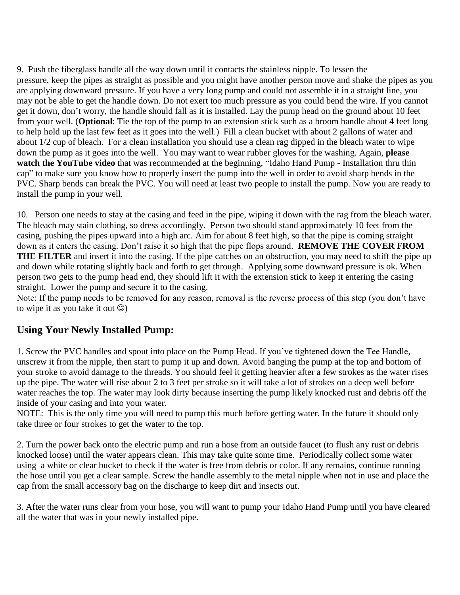9. Push the fiberglass handle all the way down until it contacts the stainless nipple. To lessen the pressure, keep the pipes as straight as possible and you might have another person move and shake the pipes as you are applying downward pressure. If you have a very long pump and could not assemble it in a straight line, you may not be able to get the handle down. Do not exert too much pressure as you could bend the wire. If you cannot get it down, don't worry, the handle should fall as it is installed. Lay the pump head on the ground about 10 feet from your well. (**Optional**: Tie the top of the pump to an extension stick such as a broom handle about 4 feet long to help hold up the last few feet as it goes into the well.) Fill a clean bucket with about 2 gallons of water and about 1/2 cup of bleach. For a clean installation you should use a clean rag dipped in the bleach water to wipe down the pump as it goes into the well. You may want to wear rubber gloves for the washing. Again, **please watch the YouTube video** that was recommended at the beginning, "Idaho Hand Pump - Installation thru thin cap" to make sure you know how to properly insert the pump into the well in order to avoid sharp bends in the PVC. Sharp bends can break the PVC. You will need at least two people to install the pump. Now you are ready to install the pump in your well.

10. Person one needs to stay at the casing and feed in the pipe, wiping it down with the rag from the bleach water. The bleach may stain clothing, so dress accordingly. Person two should stand approximately 10 feet from the casing, pushing the pipes upward into a high arc. Aim for about 8 feet high, so that the pipe is coming straight down as it enters the casing. Don't raise it so high that the pipe flops around. **REMOVE THE COVER FROM THE FILTER** and insert it into the casing. If the pipe catches on an obstruction, you may need to shift the pipe up and down while rotating slightly back and forth to get through. Applying some downward pressure is ok. When person two gets to the pump head end, they should lift it with the extension stick to keep it entering the casing straight. Lower the pump and secure it to the casing.

Note: If the pump needs to be removed for any reason, removal is the reverse process of this step (you don't have to wipe it as you take it out  $\circledcirc$ )

# **Using Your Newly Installed Pump:**

1. Screw the PVC handles and spout into place on the Pump Head. If you've tightened down the Tee Handle, unscrew it from the nipple, then start to pump it up and down. Avoid banging the pump at the top and bottom of your stroke to avoid damage to the threads. You should feel it getting heavier after a few strokes as the water rises up the pipe. The water will rise about 2 to 3 feet per stroke so it will take a lot of strokes on a deep well before water reaches the top. The water may look dirty because inserting the pump likely knocked rust and debris off the inside of your casing and into your water.

NOTE: This is the only time you will need to pump this much before getting water. In the future it should only take three or four strokes to get the water to the top.

2. Turn the power back onto the electric pump and run a hose from an outside faucet (to flush any rust or debris knocked loose) until the water appears clean. This may take quite some time. Periodically collect some water using a white or clear bucket to check if the water is free from debris or color. If any remains, continue running the hose until you get a clear sample. Screw the handle assembly to the metal nipple when not in use and place the cap from the small accessory bag on the discharge to keep dirt and insects out.

3. After the water runs clear from your hose, you will want to pump your Idaho Hand Pump until you have cleared all the water that was in your newly installed pipe.